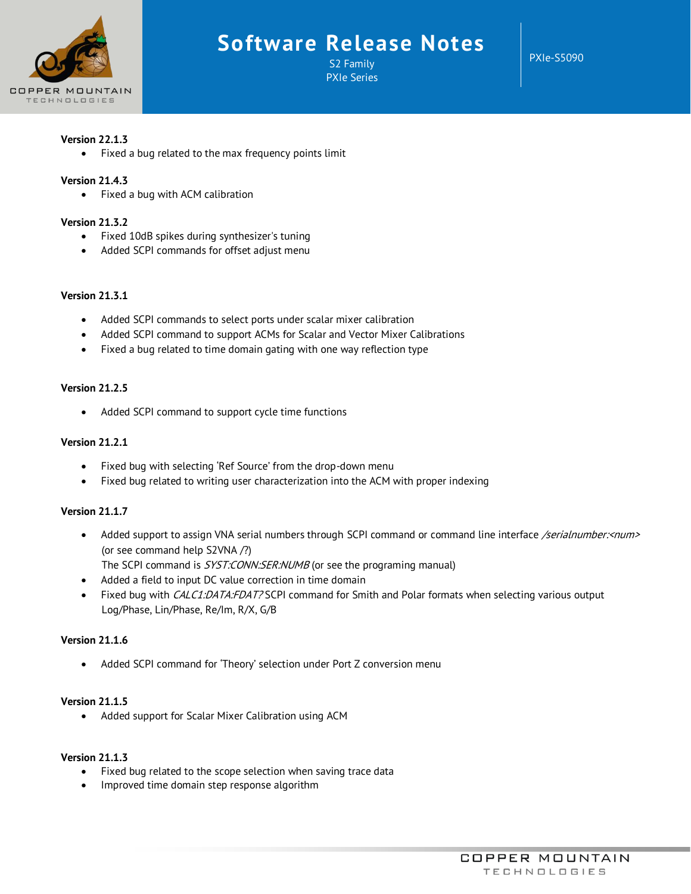

## **Software Release Notes**

S2 Family PXIe Series PXIe-S5090

## **Version 22.1.3**

• Fixed a bug related to the max frequency points limit

## **Version 21.4.3**

• Fixed a bug with ACM calibration

## **Version 21.3.2**

- Fixed 10dB spikes during synthesizer's tuning
- Added SCPI commands for offset adjust menu

#### **Version 21.3.1**

- Added SCPI commands to select ports under scalar mixer calibration
- Added SCPI command to support ACMs for Scalar and Vector Mixer Calibrations
- Fixed a bug related to time domain gating with one way reflection type

#### **Version 21.2.5**

• Added SCPI command to support cycle time functions

## **Version 21.2.1**

- Fixed bug with selecting 'Ref Source' from the drop-down menu
- Fixed bug related to writing user characterization into the ACM with proper indexing

## **Version 21.1.7**

- Added support to assign VNA serial numbers through SCPI command or command line interface /serialnumber:<num> (or see command help S2VNA /?) The SCPI command is SYST:CONN:SER:NUMB (or see the programing manual)
- Added a field to input DC value correction in time domain
- Fixed bug with CALC1:DATA:FDAT? SCPI command for Smith and Polar formats when selecting various output Log/Phase, Lin/Phase, Re/Im, R/X, G/B

#### **Version 21.1.6**

• Added SCPI command for 'Theory' selection under Port Z conversion menu

## **Version 21.1.5**

• Added support for Scalar Mixer Calibration using ACM

## **Version 21.1.3**

- Fixed bug related to the scope selection when saving trace data
- Improved time domain step response algorithm